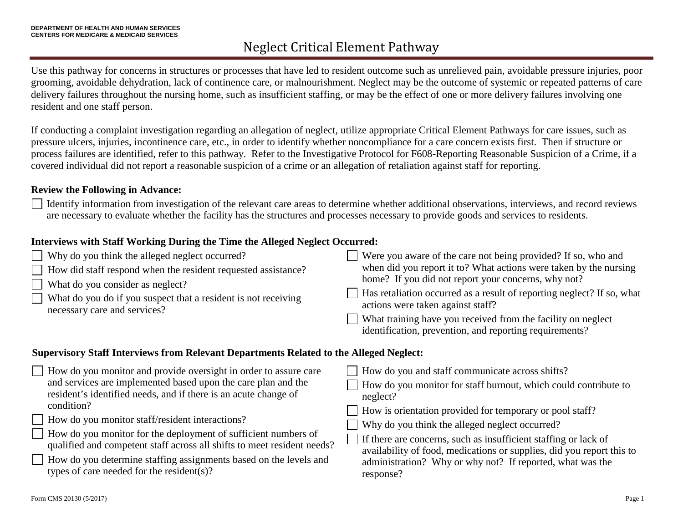Use this pathway for concerns in structures or processes that have led to resident outcome such as unrelieved pain, avoidable pressure injuries, poor grooming, avoidable dehydration, lack of continence care, or malnourishment. Neglect may be the outcome of systemic or repeated patterns of care delivery failures throughout the nursing home, such as insufficient staffing, or may be the effect of one or more delivery failures involving one resident and one staff person.

If conducting a complaint investigation regarding an allegation of neglect, utilize appropriate Critical Element Pathways for care issues, such as pressure ulcers, injuries, incontinence care, etc., in order to identify whether noncompliance for a care concern exists first. Then if structure or process failures are identified, refer to this pathway. Refer to the Investigative Protocol for F608-Reporting Reasonable Suspicion of a Crime, if a covered individual did not report a reasonable suspicion of a crime or an allegation of retaliation against staff for reporting.

#### **Review the Following in Advance:**

Identify information from investigation of the relevant care areas to determine whether additional observations, interviews, and record reviews are necessary to evaluate whether the facility has the structures and processes necessary to provide goods and services to residents.

### **Interviews with Staff Working During the Time the Alleged Neglect Occurred:**

| $\Box$ Why do you think the alleged neglect occurred?<br>$\Box$ How did staff respond when the resident requested assistance?<br>$\Box$ What do you consider as neglect?<br>What do you do if you suspect that a resident is not receiving<br>necessary care and services? | Were you aware of the care not being provided? If so, who and<br>when did you report it to? What actions were taken by the nursing<br>home? If you did not report your concerns, why not?<br>Has retaliation occurred as a result of reporting neglect? If so, what<br>actions were taken against staff?<br>What training have you received from the facility on neglect<br>identification, prevention, and reporting requirements? |
|----------------------------------------------------------------------------------------------------------------------------------------------------------------------------------------------------------------------------------------------------------------------------|-------------------------------------------------------------------------------------------------------------------------------------------------------------------------------------------------------------------------------------------------------------------------------------------------------------------------------------------------------------------------------------------------------------------------------------|
|----------------------------------------------------------------------------------------------------------------------------------------------------------------------------------------------------------------------------------------------------------------------------|-------------------------------------------------------------------------------------------------------------------------------------------------------------------------------------------------------------------------------------------------------------------------------------------------------------------------------------------------------------------------------------------------------------------------------------|

#### **Supervisory Staff Interviews from Relevant Departments Related to the Alleged Neglect:**

| How do you monitor and provide oversight in order to assure care        | How do you and staff communicate across shifts?                        |
|-------------------------------------------------------------------------|------------------------------------------------------------------------|
| and services are implemented based upon the care plan and the           | How do you monitor for staff burnout, which could contribute to        |
| resident's identified needs, and if there is an acute change of         | neglect?                                                               |
| condition?                                                              | How is orientation provided for temporary or pool staff?               |
| $\Box$ How do you monitor staff/resident interactions?                  | Why do you think the alleged neglect occurred?                         |
| How do you monitor for the deployment of sufficient numbers of          | $\Box$ If there are concerns, such as insufficient staffing or lack of |
| qualified and competent staff across all shifts to meet resident needs? | availability of food, medications or supplies, did you report this to  |
| How do you determine staffing assignments based on the levels and       | administration? Why or why not? If reported, what was the              |
| types of care needed for the resident(s)?                               | response?                                                              |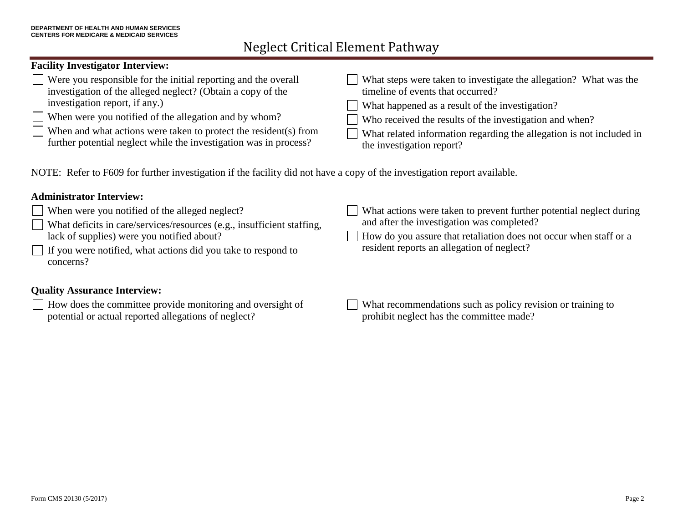#### **Facility Investigator Interview:**

| $\Box$ Were you responsible for the initial reporting and the overall                                                                 | What steps were taken to investigate the allegation? What was the                                 |
|---------------------------------------------------------------------------------------------------------------------------------------|---------------------------------------------------------------------------------------------------|
| investigation of the alleged neglect? (Obtain a copy of the                                                                           | timeline of events that occurred?                                                                 |
| investigation report, if any.)                                                                                                        | What happened as a result of the investigation?                                                   |
| $\Box$ When were you notified of the allegation and by whom?                                                                          | Who received the results of the investigation and when?                                           |
| When and what actions were taken to protect the resident(s) from<br>further potential neglect while the investigation was in process? | What related information regarding the allegation is not included in<br>the investigation report? |

NOTE: Refer to F609 for further investigation if the facility did not have a copy of the investigation report available.

#### **Administrator Interview:**

- When were you notified of the alleged neglect?
- What deficits in care/services/resources (e.g., insufficient staffing, lack of supplies) were you notified about?
- If you were notified, what actions did you take to respond to concerns?

#### **Quality Assurance Interview:**

How does the committee provide monitoring and oversight of potential or actual reported allegations of neglect?

- What actions were taken to prevent further potential neglect during and after the investigation was completed?
- How do you assure that retaliation does not occur when staff or a resident reports an allegation of neglect?
- What recommendations such as policy revision or training to prohibit neglect has the committee made?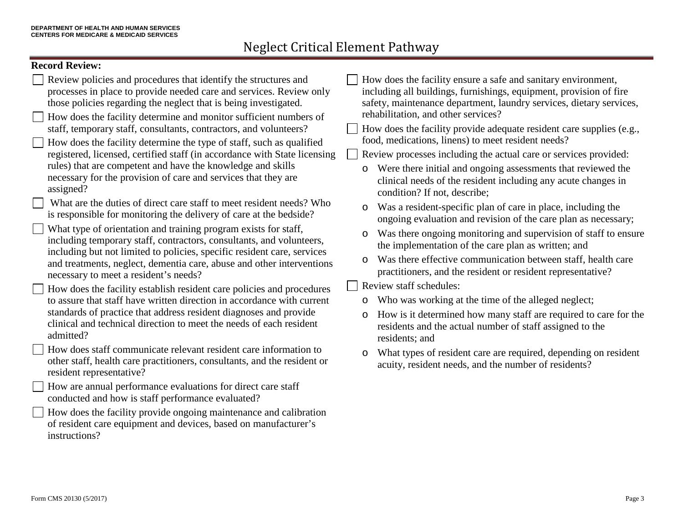### **Record Review:**

|  | ongoing evaluation and revision of the care plan as necessary;<br>What type of orientation and training program exists for staff,<br>Was there ongoing monitoring and supervision of staff to ensure<br>$\circ$<br>including temporary staff, contractors, consultants, and volunteers,<br>the implementation of the care plan as written; and<br>including but not limited to policies, specific resident care, services<br>Was there effective communication between staff, health care<br>$\circ$<br>and treatments, neglect, dementia care, abuse and other interventions<br>practitioners, and the resident or resident representative?<br>necessary to meet a resident's needs?<br>Review staff schedules:<br>How does the facility establish resident care policies and procedures<br>to assure that staff have written direction in accordance with current<br>Who was working at the time of the alleged neglect;<br>$\circ$<br>standards of practice that address resident diagnoses and provide<br>How is it determined how many staff are required to care for the<br>$\circ$<br>clinical and technical direction to meet the needs of each resident<br>residents and the actual number of staff assigned to the<br>admitted?<br>residents; and<br>How does staff communicate relevant resident care information to<br>What types of resident care are required, depending on resident<br>$\circ$<br>other staff, health care practitioners, consultants, and the resident or<br>acuity, resident needs, and the number of residents?<br>resident representative?<br>How are annual performance evaluations for direct care staff<br>conducted and how is staff performance evaluated?<br>How does the facility provide ongoing maintenance and calibration<br>of resident care equipment and devices, based on manufacturer's<br>instructions? | Review policies and procedures that identify the structures and<br>How does the facility ensure a safe and sanitary environment,<br>processes in place to provide needed care and services. Review only<br>including all buildings, furnishings, equipment, provision of fire<br>those policies regarding the neglect that is being investigated.<br>safety, maintenance department, laundry services, dietary services,<br>rehabilitation, and other services?<br>How does the facility determine and monitor sufficient numbers of<br>staff, temporary staff, consultants, contractors, and volunteers?<br>How does the facility provide adequate resident care supplies (e.g.,<br>food, medications, linens) to meet resident needs?<br>How does the facility determine the type of staff, such as qualified<br>registered, licensed, certified staff (in accordance with State licensing<br>Review processes including the actual care or services provided:<br>rules) that are competent and have the knowledge and skills<br>Were there initial and ongoing assessments that reviewed the<br>O<br>necessary for the provision of care and services that they are<br>clinical needs of the resident including any acute changes in<br>assigned?<br>condition? If not, describe;<br>What are the duties of direct care staff to meet resident needs? Who<br>Was a resident-specific plan of care in place, including the<br>$\circ$<br>is responsible for monitoring the delivery of care at the bedside? |
|--|-------------------------------------------------------------------------------------------------------------------------------------------------------------------------------------------------------------------------------------------------------------------------------------------------------------------------------------------------------------------------------------------------------------------------------------------------------------------------------------------------------------------------------------------------------------------------------------------------------------------------------------------------------------------------------------------------------------------------------------------------------------------------------------------------------------------------------------------------------------------------------------------------------------------------------------------------------------------------------------------------------------------------------------------------------------------------------------------------------------------------------------------------------------------------------------------------------------------------------------------------------------------------------------------------------------------------------------------------------------------------------------------------------------------------------------------------------------------------------------------------------------------------------------------------------------------------------------------------------------------------------------------------------------------------------------------------------------------------------------------------------------------------------------------------------------------------------------------------------------|---------------------------------------------------------------------------------------------------------------------------------------------------------------------------------------------------------------------------------------------------------------------------------------------------------------------------------------------------------------------------------------------------------------------------------------------------------------------------------------------------------------------------------------------------------------------------------------------------------------------------------------------------------------------------------------------------------------------------------------------------------------------------------------------------------------------------------------------------------------------------------------------------------------------------------------------------------------------------------------------------------------------------------------------------------------------------------------------------------------------------------------------------------------------------------------------------------------------------------------------------------------------------------------------------------------------------------------------------------------------------------------------------------------------------------------------------------------------------------------------------------------|
|--|-------------------------------------------------------------------------------------------------------------------------------------------------------------------------------------------------------------------------------------------------------------------------------------------------------------------------------------------------------------------------------------------------------------------------------------------------------------------------------------------------------------------------------------------------------------------------------------------------------------------------------------------------------------------------------------------------------------------------------------------------------------------------------------------------------------------------------------------------------------------------------------------------------------------------------------------------------------------------------------------------------------------------------------------------------------------------------------------------------------------------------------------------------------------------------------------------------------------------------------------------------------------------------------------------------------------------------------------------------------------------------------------------------------------------------------------------------------------------------------------------------------------------------------------------------------------------------------------------------------------------------------------------------------------------------------------------------------------------------------------------------------------------------------------------------------------------------------------------------------|---------------------------------------------------------------------------------------------------------------------------------------------------------------------------------------------------------------------------------------------------------------------------------------------------------------------------------------------------------------------------------------------------------------------------------------------------------------------------------------------------------------------------------------------------------------------------------------------------------------------------------------------------------------------------------------------------------------------------------------------------------------------------------------------------------------------------------------------------------------------------------------------------------------------------------------------------------------------------------------------------------------------------------------------------------------------------------------------------------------------------------------------------------------------------------------------------------------------------------------------------------------------------------------------------------------------------------------------------------------------------------------------------------------------------------------------------------------------------------------------------------------|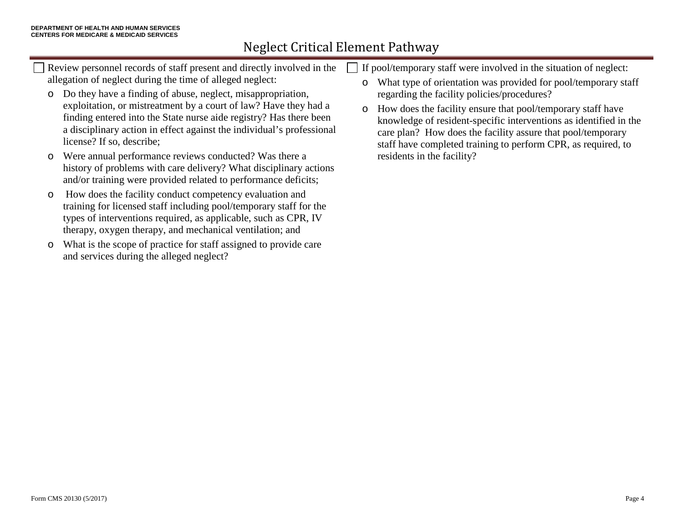- Review personnel records of staff present and directly involved in the allegation of neglect during the time of alleged neglect:
- o Do they have a finding of abuse, neglect, misappropriation, exploitation, or mistreatment by a court of law? Have they had a finding entered into the State nurse aide registry? Has there been a disciplinary action in effect against the individual's professional license? If so, describe;
- o Were annual performance reviews conducted? Was there a history of problems with care delivery? What disciplinary actions and/or training were provided related to performance deficits;
- o How does the facility conduct competency evaluation and training for licensed staff including pool/temporary staff for the types of interventions required, as applicable, such as CPR, IV therapy, oxygen therapy, and mechanical ventilation; and
- o What is the scope of practice for staff assigned to provide care and services during the alleged neglect?
- If pool/temporary staff were involved in the situation of neglect:
- o What type of orientation was provided for pool/temporary staff regarding the facility policies/procedures?
- o How does the facility ensure that pool/temporary staff have knowledge of resident-specific interventions as identified in the care plan? How does the facility assure that pool/temporary staff have completed training to perform CPR, as required, to residents in the facility?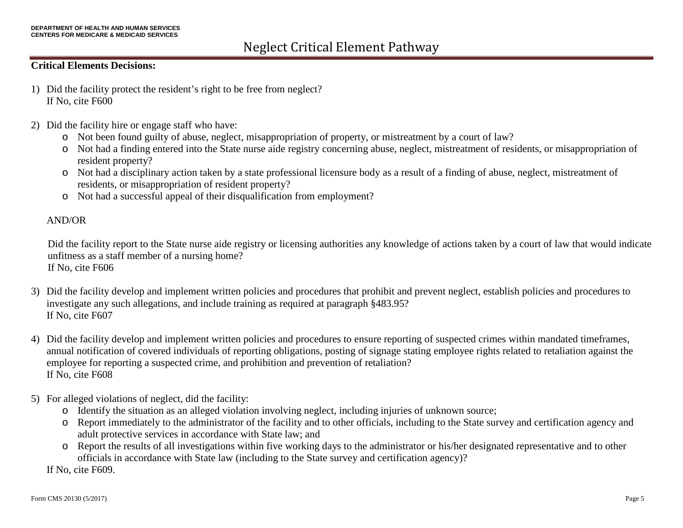#### **Critical Elements Decisions:**

- 1) Did the facility protect the resident's right to be free from neglect? If No, cite F600
- 2) Did the facility hire or engage staff who have:
	- o Not been found guilty of abuse, neglect, misappropriation of property, or mistreatment by a court of law?
	- o Not had a finding entered into the State nurse aide registry concerning abuse, neglect, mistreatment of residents, or misappropriation of resident property?
	- o Not had a disciplinary action taken by a state professional licensure body as a result of a finding of abuse, neglect, mistreatment of residents, or misappropriation of resident property?
	- o Not had a successful appeal of their disqualification from employment?

#### AND/OR

Did the facility report to the State nurse aide registry or licensing authorities any knowledge of actions taken by a court of law that would indicate unfitness as a staff member of a nursing home? If No, cite F606

- 3) Did the facility develop and implement written policies and procedures that prohibit and prevent neglect, establish policies and procedures to investigate any such allegations, and include training as required at paragraph §483.95? If No, cite F607
- 4) Did the facility develop and implement written policies and procedures to ensure reporting of suspected crimes within mandated timeframes, annual notification of covered individuals of reporting obligations, posting of signage stating employee rights related to retaliation against the employee for reporting a suspected crime, and prohibition and prevention of retaliation? If No, cite F608
- 5) For alleged violations of neglect, did the facility:
	- o Identify the situation as an alleged violation involving neglect, including injuries of unknown source;
	- o Report immediately to the administrator of the facility and to other officials, including to the State survey and certification agency and adult protective services in accordance with State law; and
	- o Report the results of all investigations within five working days to the administrator or his/her designated representative and to other officials in accordance with State law (including to the State survey and certification agency)?

If No, cite F609.